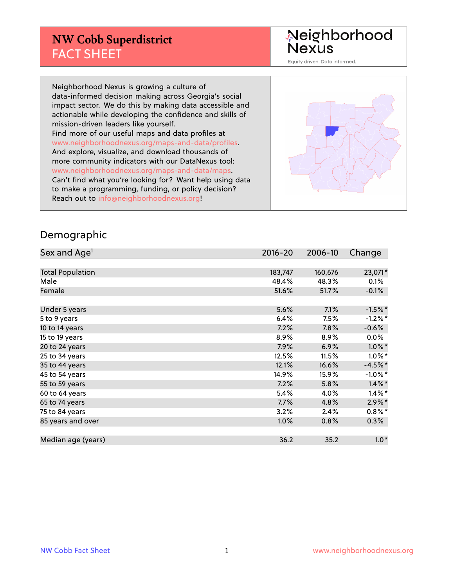#### **NW Cobb Superdistrict** FACT SHEET

Neighborhood<br>Nexus

Equity driven. Data informed.

Neighborhood Nexus is growing a culture of data-informed decision making across Georgia's social impact sector. We do this by making data accessible and actionable while developing the confidence and skills of mission-driven leaders like yourself. Find more of our useful maps and data profiles at www.neighborhoodnexus.org/maps-and-data/profiles. And explore, visualize, and download thousands of more community indicators with our DataNexus tool: www.neighborhoodnexus.org/maps-and-data/maps. Can't find what you're looking for? Want help using data to make a programming, funding, or policy decision? Reach out to [info@neighborhoodnexus.org!](mailto:info@neighborhoodnexus.org)



#### Demographic

| Sex and Age <sup>1</sup> | $2016 - 20$ | 2006-10 | Change     |
|--------------------------|-------------|---------|------------|
|                          |             |         |            |
| <b>Total Population</b>  | 183,747     | 160,676 | 23,071*    |
| Male                     | 48.4%       | 48.3%   | 0.1%       |
| Female                   | 51.6%       | 51.7%   | $-0.1%$    |
|                          |             |         |            |
| Under 5 years            | 5.6%        | 7.1%    | $-1.5%$ *  |
| 5 to 9 years             | 6.4%        | 7.5%    | $-1.2%$ *  |
| 10 to 14 years           | 7.2%        | 7.8%    | $-0.6%$    |
| 15 to 19 years           | 8.9%        | 8.9%    | $0.0\%$    |
| 20 to 24 years           | 7.9%        | 6.9%    | $1.0\%$ *  |
| 25 to 34 years           | 12.5%       | 11.5%   | $1.0\%$ *  |
| 35 to 44 years           | 12.1%       | 16.6%   | $-4.5%$ *  |
| 45 to 54 years           | 14.9%       | 15.9%   | $-1.0\%$ * |
| 55 to 59 years           | 7.2%        | 5.8%    | $1.4\%$ *  |
| 60 to 64 years           | 5.4%        | 4.0%    | $1.4\%$ *  |
| 65 to 74 years           | 7.7%        | 4.8%    | $2.9\%$ *  |
| 75 to 84 years           | 3.2%        | 2.4%    | $0.8\%$ *  |
| 85 years and over        | 1.0%        | 0.8%    | $0.3\%$    |
|                          |             |         |            |
| Median age (years)       | 36.2        | 35.2    | $1.0*$     |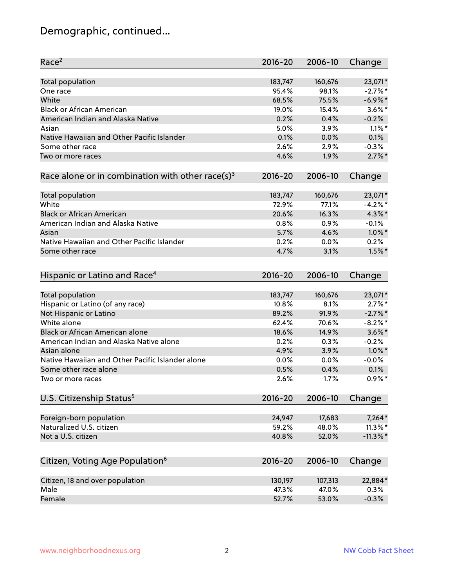# Demographic, continued...

| Race <sup>2</sup>                                            | $2016 - 20$ | 2006-10 | Change                 |
|--------------------------------------------------------------|-------------|---------|------------------------|
| Total population                                             | 183,747     | 160,676 | 23,071*                |
| One race                                                     | 95.4%       | 98.1%   | $-2.7%$ *              |
| White                                                        | 68.5%       | 75.5%   | $-6.9\%$ *             |
| <b>Black or African American</b>                             | 19.0%       | 15.4%   | $3.6\%$ *              |
| American Indian and Alaska Native                            | 0.2%        | 0.4%    | $-0.2%$                |
| Asian                                                        | 5.0%        | 3.9%    | $1.1\%$ *              |
| Native Hawaiian and Other Pacific Islander                   | 0.1%        | 0.0%    | 0.1%                   |
| Some other race                                              | 2.6%        | 2.9%    | $-0.3%$                |
| Two or more races                                            | 4.6%        | 1.9%    | $2.7\%$ *              |
| Race alone or in combination with other race(s) <sup>3</sup> | $2016 - 20$ | 2006-10 | Change                 |
| Total population                                             | 183,747     | 160,676 | 23,071*                |
| White                                                        | 72.9%       | 77.1%   | $-4.2%$ *              |
| <b>Black or African American</b>                             | 20.6%       | 16.3%   | $4.3\%$ *              |
| American Indian and Alaska Native                            | 0.8%        | 0.9%    | $-0.1%$                |
| Asian                                                        | 5.7%        | 4.6%    | $1.0\%$ *              |
| Native Hawaiian and Other Pacific Islander                   | 0.2%        | 0.0%    | 0.2%                   |
| Some other race                                              | 4.7%        | 3.1%    | $1.5\%$ *              |
|                                                              |             |         |                        |
| Hispanic or Latino and Race <sup>4</sup>                     | $2016 - 20$ | 2006-10 | Change                 |
| Total population                                             | 183,747     | 160,676 | 23,071*                |
| Hispanic or Latino (of any race)                             | 10.8%       | 8.1%    | $2.7\%$ *              |
| Not Hispanic or Latino                                       | 89.2%       | 91.9%   | $-2.7\%$ *             |
| White alone                                                  | 62.4%       | 70.6%   | $-8.2\%$ *             |
| Black or African American alone                              | 18.6%       | 14.9%   | $3.6\%$ *              |
| American Indian and Alaska Native alone                      | 0.2%        | 0.3%    | $-0.2%$                |
| Asian alone                                                  | 4.9%        | 3.9%    | $1.0\%$ *              |
| Native Hawaiian and Other Pacific Islander alone             | 0.0%        | 0.0%    | $-0.0%$                |
| Some other race alone                                        | 0.5%        | 0.4%    | 0.1%                   |
| Two or more races                                            | 2.6%        | 1.7%    | $0.9%$ *               |
| U.S. Citizenship Status <sup>5</sup>                         | $2016 - 20$ | 2006-10 | Change                 |
|                                                              | 24,947      | 17,683  |                        |
| Foreign-born population<br>Naturalized U.S. citizen          | 59.2%       | 48.0%   | $7,264*$<br>$11.3\%$ * |
| Not a U.S. citizen                                           | 40.8%       | 52.0%   | $-11.3\%$ *            |
|                                                              |             |         |                        |
| Citizen, Voting Age Population <sup>6</sup>                  | $2016 - 20$ | 2006-10 | Change                 |
| Citizen, 18 and over population                              | 130,197     | 107,313 | 22,884*                |
| Male                                                         | 47.3%       | 47.0%   | 0.3%                   |
| Female                                                       | 52.7%       | 53.0%   | $-0.3%$                |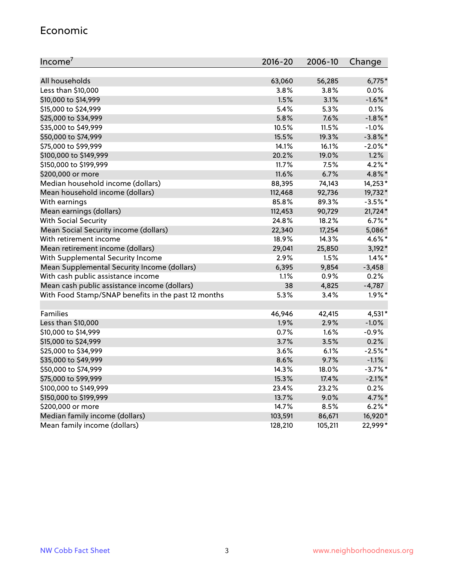#### Economic

| Income <sup>7</sup>                                 | $2016 - 20$ | 2006-10 | Change     |
|-----------------------------------------------------|-------------|---------|------------|
|                                                     |             |         |            |
| All households                                      | 63,060      | 56,285  | $6,775*$   |
| Less than \$10,000                                  | 3.8%        | 3.8%    | $0.0\%$    |
| \$10,000 to \$14,999                                | 1.5%        | 3.1%    | $-1.6\%$ * |
| \$15,000 to \$24,999                                | 5.4%        | 5.3%    | 0.1%       |
| \$25,000 to \$34,999                                | 5.8%        | 7.6%    | $-1.8\%$ * |
| \$35,000 to \$49,999                                | 10.5%       | 11.5%   | $-1.0%$    |
| \$50,000 to \$74,999                                | 15.5%       | 19.3%   | $-3.8\%$ * |
| \$75,000 to \$99,999                                | 14.1%       | 16.1%   | $-2.0\%$ * |
| \$100,000 to \$149,999                              | 20.2%       | 19.0%   | 1.2%       |
| \$150,000 to \$199,999                              | 11.7%       | 7.5%    | $4.2\%$ *  |
| \$200,000 or more                                   | 11.6%       | 6.7%    | 4.8%*      |
| Median household income (dollars)                   | 88,395      | 74,143  | 14,253*    |
| Mean household income (dollars)                     | 112,468     | 92,736  | 19,732*    |
| With earnings                                       | 85.8%       | 89.3%   | $-3.5%$ *  |
| Mean earnings (dollars)                             | 112,453     | 90,729  | 21,724*    |
| <b>With Social Security</b>                         | 24.8%       | 18.2%   | $6.7\%$ *  |
| Mean Social Security income (dollars)               | 22,340      | 17,254  | 5,086*     |
| With retirement income                              | 18.9%       | 14.3%   | 4.6%*      |
| Mean retirement income (dollars)                    | 29,041      | 25,850  | $3,192*$   |
| With Supplemental Security Income                   | 2.9%        | 1.5%    | $1.4\%$ *  |
| Mean Supplemental Security Income (dollars)         | 6,395       | 9,854   | $-3,458$   |
| With cash public assistance income                  | 1.1%        | 0.9%    | 0.2%       |
| Mean cash public assistance income (dollars)        | 38          | 4,825   | $-4,787$   |
| With Food Stamp/SNAP benefits in the past 12 months | 5.3%        | 3.4%    | $1.9\%$ *  |
|                                                     |             |         |            |
| Families                                            | 46,946      | 42,415  | 4,531*     |
| Less than \$10,000                                  | 1.9%        | 2.9%    | $-1.0%$    |
| \$10,000 to \$14,999                                | 0.7%        | 1.6%    | $-0.9%$    |
| \$15,000 to \$24,999                                | 3.7%        | 3.5%    | 0.2%       |
| \$25,000 to \$34,999                                | 3.6%        | 6.1%    | $-2.5%$ *  |
| \$35,000 to \$49,999                                | 8.6%        | 9.7%    | $-1.1%$    |
| \$50,000 to \$74,999                                | 14.3%       | 18.0%   | $-3.7%$ *  |
| \$75,000 to \$99,999                                | 15.3%       | 17.4%   | $-2.1\%$ * |
| \$100,000 to \$149,999                              | 23.4%       | 23.2%   | 0.2%       |
| \$150,000 to \$199,999                              | 13.7%       | 9.0%    | 4.7%*      |
| \$200,000 or more                                   | 14.7%       | 8.5%    | $6.2\%$ *  |
| Median family income (dollars)                      | 103,591     | 86,671  | 16,920*    |
| Mean family income (dollars)                        | 128,210     | 105,211 | 22,999*    |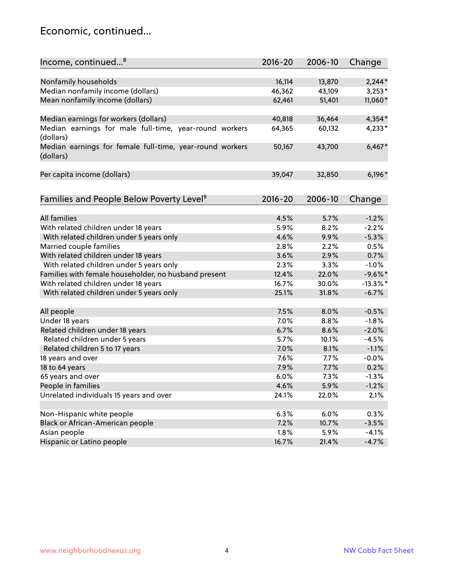#### Economic, continued...

| Income, continued <sup>8</sup>                           | $2016 - 20$ | 2006-10 | Change      |
|----------------------------------------------------------|-------------|---------|-------------|
|                                                          |             |         |             |
| Nonfamily households                                     | 16,114      | 13,870  | $2,244*$    |
| Median nonfamily income (dollars)                        | 46,362      | 43,109  | $3,253*$    |
| Mean nonfamily income (dollars)                          | 62,461      | 51,401  | 11,060*     |
|                                                          |             |         |             |
| Median earnings for workers (dollars)                    | 40,818      | 36,464  | $4,354*$    |
| Median earnings for male full-time, year-round workers   | 64,365      | 60,132  | 4,233*      |
| (dollars)                                                |             |         |             |
| Median earnings for female full-time, year-round workers | 50,167      | 43,700  | $6,467*$    |
| (dollars)                                                |             |         |             |
|                                                          |             |         |             |
| Per capita income (dollars)                              | 39,047      | 32,850  | $6,196*$    |
|                                                          |             |         |             |
|                                                          | $2016 - 20$ | 2006-10 |             |
| Families and People Below Poverty Level <sup>9</sup>     |             |         | Change      |
|                                                          |             |         |             |
| <b>All families</b>                                      | 4.5%        | 5.7%    | $-1.2%$     |
| With related children under 18 years                     | 5.9%        | 8.2%    | $-2.2%$     |
| With related children under 5 years only                 | 4.6%        | 9.9%    | $-5.3%$     |
| Married couple families                                  | 2.8%        | 2.2%    | 0.5%        |
| With related children under 18 years                     | 3.6%        | 2.9%    | 0.7%        |
| With related children under 5 years only                 | 2.3%        | 3.3%    | $-1.0%$     |
| Families with female householder, no husband present     | 12.4%       | 22.0%   | $-9.6%$ *   |
| With related children under 18 years                     | 16.7%       | 30.0%   | $-13.3\%$ * |
| With related children under 5 years only                 | 25.1%       | 31.8%   | $-6.7%$     |
|                                                          | 7.5%        | 8.0%    | $-0.5%$     |
| All people                                               | 7.0%        | 8.8%    | $-1.8%$     |
| Under 18 years                                           | 6.7%        | 8.6%    | $-2.0%$     |
| Related children under 18 years                          | 5.7%        | 10.1%   | $-4.5%$     |
| Related children under 5 years                           |             |         |             |
| Related children 5 to 17 years                           | 7.0%        | 8.1%    | $-1.1%$     |
| 18 years and over                                        | 7.6%        | 7.7%    | $-0.0%$     |
| 18 to 64 years                                           | 7.9%        | 7.7%    | 0.2%        |
| 65 years and over                                        | 6.0%        | 7.3%    | $-1.3%$     |
| People in families                                       | 4.6%        | 5.9%    | $-1.2%$     |
| Unrelated individuals 15 years and over                  | 24.1%       | 22.0%   | 2.1%        |
|                                                          |             |         |             |
| Non-Hispanic white people                                | 6.3%        | 6.0%    | 0.3%        |
| Black or African-American people                         | 7.2%        | 10.7%   | $-3.5%$     |
| Asian people                                             | 1.8%        | 5.9%    | $-4.1%$     |
| Hispanic or Latino people                                | 16.7%       | 21.4%   | $-4.7%$     |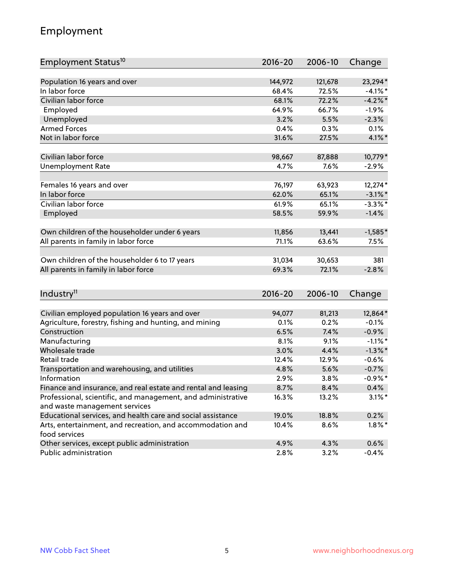## Employment

| Employment Status <sup>10</sup>                               | $2016 - 20$   | 2006-10       | Change             |
|---------------------------------------------------------------|---------------|---------------|--------------------|
|                                                               |               |               |                    |
| Population 16 years and over                                  | 144,972       | 121,678       | 23,294*            |
| In labor force                                                | 68.4%         | 72.5%         | $-4.1%$ *          |
| Civilian labor force                                          | 68.1%         | 72.2%         | $-4.2%$            |
| Employed                                                      | 64.9%         | 66.7%         | $-1.9%$            |
| Unemployed                                                    | 3.2%          | 5.5%          | $-2.3%$            |
| <b>Armed Forces</b>                                           | 0.4%          | 0.3%          | 0.1%               |
| Not in labor force                                            | 31.6%         | 27.5%         | $4.1\%$ *          |
| Civilian labor force                                          | 98,667        | 87,888        | 10,779*            |
|                                                               | 4.7%          | 7.6%          | $-2.9%$            |
| <b>Unemployment Rate</b>                                      |               |               |                    |
| Females 16 years and over                                     | 76,197        | 63,923        | 12,274*            |
| In labor force                                                | 62.0%         | 65.1%         | $-3.1\%$ *         |
| Civilian labor force                                          | 61.9%         | 65.1%         | $-3.3\%$ *         |
| Employed                                                      | 58.5%         | 59.9%         | $-1.4%$            |
|                                                               |               |               |                    |
| Own children of the householder under 6 years                 | 11,856        | 13,441        | $-1,585*$          |
| All parents in family in labor force                          | 71.1%         | 63.6%         | 7.5%               |
| Own children of the householder 6 to 17 years                 | 31,034        | 30,653        | 381                |
| All parents in family in labor force                          | 69.3%         | 72.1%         | $-2.8%$            |
|                                                               |               |               |                    |
| Industry <sup>11</sup>                                        | 2016-20       | 2006-10       | Change             |
|                                                               |               |               |                    |
| Civilian employed population 16 years and over                | 94,077        | 81,213        | 12,864*            |
| Agriculture, forestry, fishing and hunting, and mining        | 0.1%          | 0.2%          | $-0.1%$            |
| Construction                                                  | 6.5%          | 7.4%          | $-0.9%$            |
| Manufacturing<br>Wholesale trade                              | 8.1%          | 9.1%          | $-1.1\%$ *         |
| Retail trade                                                  | 3.0%          | 4.4%          | $-1.3\%$ *         |
|                                                               | 12.4%<br>4.8% | 12.9%<br>5.6% | $-0.6%$<br>$-0.7%$ |
| Transportation and warehousing, and utilities<br>Information  |               |               | $-0.9%$ *          |
| Finance and insurance, and real estate and rental and leasing | 2.9%<br>8.7%  | 3.8%<br>8.4%  | 0.4%               |
| Professional, scientific, and management, and administrative  | 16.3%         |               | $3.1\%$ *          |
| and waste management services                                 |               | 13.2%         |                    |
| Educational services, and health care and social assistance   | 19.0%         | 18.8%         | 0.2%               |
| Arts, entertainment, and recreation, and accommodation and    | 10.4%         | 8.6%          | $1.8\%$ *          |
| food services                                                 |               |               |                    |
| Other services, except public administration                  | 4.9%          | 4.3%          | 0.6%               |
| Public administration                                         | 2.8%          | 3.2%          | $-0.4%$            |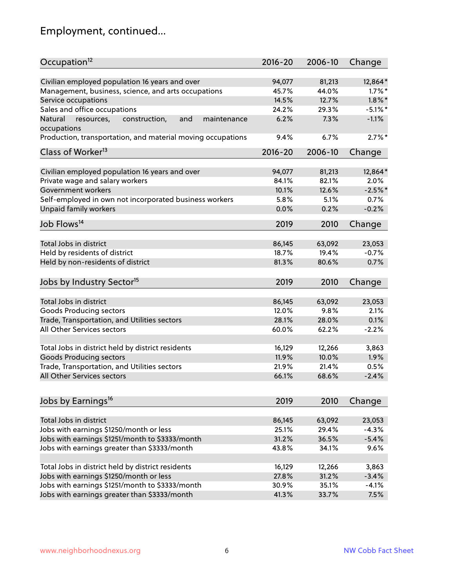# Employment, continued...

| Occupation <sup>12</sup>                                                    | $2016 - 20$ | 2006-10         | Change            |
|-----------------------------------------------------------------------------|-------------|-----------------|-------------------|
| Civilian employed population 16 years and over                              | 94,077      | 81,213          | 12,864*           |
| Management, business, science, and arts occupations                         | 45.7%       | 44.0%           | $1.7\%$ *         |
| Service occupations                                                         | 14.5%       | 12.7%           | $1.8\%$ *         |
| Sales and office occupations                                                | 24.2%       | 29.3%           | $-5.1\%$ *        |
|                                                                             | 6.2%        |                 | $-1.1%$           |
| Natural<br>and<br>resources,<br>construction,<br>maintenance<br>occupations |             | 7.3%            |                   |
| Production, transportation, and material moving occupations                 | 9.4%        | 6.7%            | $2.7\%$ *         |
| Class of Worker <sup>13</sup>                                               | $2016 - 20$ | 2006-10         | Change            |
| Civilian employed population 16 years and over                              | 94,077      | 81,213          | 12,864*           |
| Private wage and salary workers                                             | 84.1%       | 82.1%           | 2.0%              |
| Government workers                                                          | 10.1%       | 12.6%           | $-2.5%$ *         |
|                                                                             |             |                 |                   |
| Self-employed in own not incorporated business workers                      | 5.8%        | 5.1%            | 0.7%              |
| Unpaid family workers                                                       | 0.0%        | 0.2%            | $-0.2%$           |
| Job Flows <sup>14</sup>                                                     | 2019        | 2010            | Change            |
|                                                                             |             |                 |                   |
| Total Jobs in district                                                      | 86,145      | 63,092          | 23,053            |
| Held by residents of district                                               | 18.7%       | 19.4%           | $-0.7%$           |
| Held by non-residents of district                                           | 81.3%       | 80.6%           | 0.7%              |
| Jobs by Industry Sector <sup>15</sup>                                       | 2019        | 2010            | Change            |
|                                                                             |             |                 |                   |
| Total Jobs in district                                                      | 86,145      | 63,092          | 23,053            |
| Goods Producing sectors                                                     | 12.0%       | 9.8%            | 2.1%              |
| Trade, Transportation, and Utilities sectors                                | 28.1%       | 28.0%           | 0.1%              |
| All Other Services sectors                                                  | 60.0%       | 62.2%           | $-2.2%$           |
| Total Jobs in district held by district residents                           | 16,129      | 12,266          | 3,863             |
| <b>Goods Producing sectors</b>                                              | 11.9%       | 10.0%           | 1.9%              |
| Trade, Transportation, and Utilities sectors                                | 21.9%       | 21.4%           | 0.5%              |
| All Other Services sectors                                                  | 66.1%       | 68.6%           | $-2.4%$           |
|                                                                             |             |                 |                   |
| Jobs by Earnings <sup>16</sup>                                              | 2019        | 2010            | Change            |
| Total Jobs in district                                                      |             |                 |                   |
|                                                                             | 86,145      | 63,092<br>29.4% | 23,053<br>$-4.3%$ |
| Jobs with earnings \$1250/month or less                                     | 25.1%       |                 |                   |
| Jobs with earnings \$1251/month to \$3333/month                             | 31.2%       | 36.5%           | $-5.4%$           |
| Jobs with earnings greater than \$3333/month                                | 43.8%       | 34.1%           | 9.6%              |
| Total Jobs in district held by district residents                           | 16,129      | 12,266          | 3,863             |
| Jobs with earnings \$1250/month or less                                     | 27.8%       | 31.2%           | $-3.4%$           |
| Jobs with earnings \$1251/month to \$3333/month                             | 30.9%       | 35.1%           | $-4.1%$           |
| Jobs with earnings greater than \$3333/month                                | 41.3%       | 33.7%           | 7.5%              |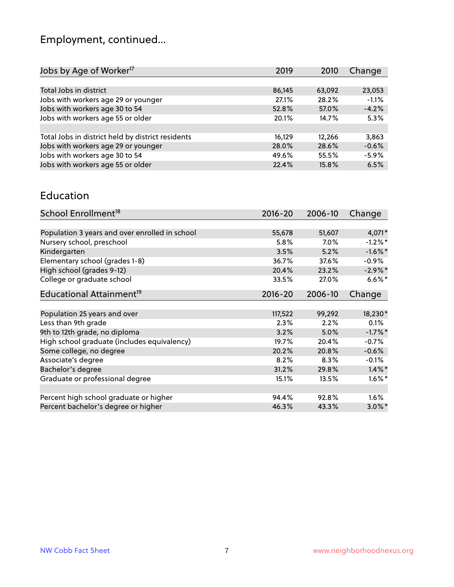# Employment, continued...

| 2019   | 2010   | Change  |
|--------|--------|---------|
|        |        |         |
| 86,145 | 63,092 | 23,053  |
| 27.1%  | 28.2%  | $-1.1%$ |
| 52.8%  | 57.0%  | $-4.2%$ |
| 20.1%  | 14.7%  | 5.3%    |
|        |        |         |
| 16,129 | 12.266 | 3,863   |
| 28.0%  | 28.6%  | $-0.6%$ |
| 49.6%  | 55.5%  | $-5.9%$ |
| 22.4%  | 15.8%  | 6.5%    |
|        |        |         |

#### Education

| School Enrollment <sup>18</sup>                | $2016 - 20$ | 2006-10 | Change     |
|------------------------------------------------|-------------|---------|------------|
|                                                |             |         |            |
| Population 3 years and over enrolled in school | 55,678      | 51,607  | 4,071*     |
| Nursery school, preschool                      | 5.8%        | $7.0\%$ | $-1.2\%$ * |
| Kindergarten                                   | 3.5%        | 5.2%    | $-1.6\%$ * |
| Elementary school (grades 1-8)                 | 36.7%       | 37.6%   | $-0.9\%$   |
| High school (grades 9-12)                      | 20.4%       | 23.2%   | $-2.9\%$ * |
| College or graduate school                     | 33.5%       | 27.0%   | $6.6\%$ *  |
| Educational Attainment <sup>19</sup>           | 2016-20     | 2006-10 | Change     |
|                                                |             |         |            |
| Population 25 years and over                   | 117,522     | 99,292  | 18,230*    |
| Less than 9th grade                            | 2.3%        | 2.2%    | 0.1%       |
| 9th to 12th grade, no diploma                  | 3.2%        | 5.0%    | $-1.7%$ *  |
| High school graduate (includes equivalency)    | 19.7%       | 20.4%   | $-0.7%$    |
| Some college, no degree                        | 20.2%       | 20.8%   | $-0.6%$    |
| Associate's degree                             | 8.2%        | 8.3%    | $-0.1%$    |
| Bachelor's degree                              | 31.2%       | 29.8%   | $1.4\%$ *  |
| Graduate or professional degree                | 15.1%       | 13.5%   | $1.6\%$ *  |
|                                                |             |         |            |
| Percent high school graduate or higher         | 94.4%       | 92.8%   | $1.6\%$    |
| Percent bachelor's degree or higher            | 46.3%       | 43.3%   | $3.0\%$ *  |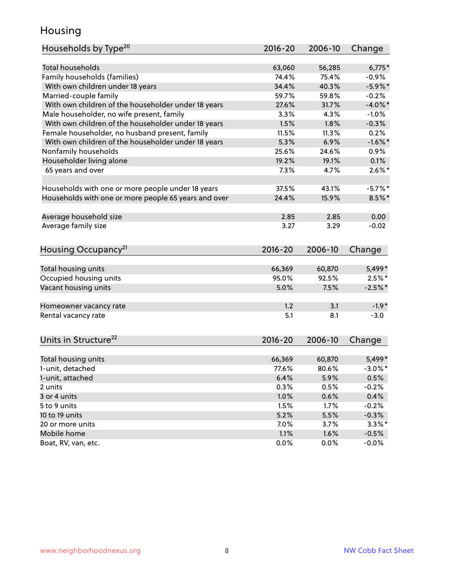#### Housing

| Households by Type <sup>20</sup>                     | 2016-20      | 2006-10      | Change          |
|------------------------------------------------------|--------------|--------------|-----------------|
|                                                      |              |              |                 |
| <b>Total households</b>                              | 63,060       | 56,285       | $6,775*$        |
| Family households (families)                         | 74.4%        | 75.4%        | $-0.9%$         |
| With own children under 18 years                     | 34.4%        | 40.3%        | $-5.9\%$ *      |
| Married-couple family                                | 59.7%        | 59.8%        | $-0.2%$         |
| With own children of the householder under 18 years  | 27.6%        | 31.7%        | $-4.0\%$ *      |
| Male householder, no wife present, family            | 3.3%         | 4.3%         | $-1.0%$         |
| With own children of the householder under 18 years  | 1.5%         | 1.8%         | $-0.3%$         |
| Female householder, no husband present, family       | 11.5%        | 11.3%        | 0.2%            |
| With own children of the householder under 18 years  | 5.3%         | 6.9%         | $-1.6%$ *       |
| Nonfamily households                                 | 25.6%        | 24.6%        | $0.9\%$         |
| Householder living alone                             | 19.2%        | 19.1%        | 0.1%            |
| 65 years and over                                    | 7.3%         | 4.7%         | $2.6\%$ *       |
|                                                      |              |              |                 |
| Households with one or more people under 18 years    | 37.5%        | 43.1%        | $-5.7%$ *       |
| Households with one or more people 65 years and over | 24.4%        | 15.9%        | $8.5\%$ *       |
|                                                      |              |              |                 |
| Average household size                               | 2.85         | 2.85         | 0.00            |
| Average family size                                  | 3.27         | 3.29         | $-0.02$         |
| Housing Occupancy <sup>21</sup>                      | $2016 - 20$  | 2006-10      | Change          |
|                                                      |              |              |                 |
| Total housing units                                  | 66,369       | 60,870       | 5,499*          |
| Occupied housing units                               | 95.0%        | 92.5%        | $2.5%$ *        |
| Vacant housing units                                 | 5.0%         | 7.5%         | $-2.5%$ *       |
|                                                      |              |              |                 |
| Homeowner vacancy rate                               | 1.2          | 3.1          | $-1.9*$         |
| Rental vacancy rate                                  | 5.1          | 8.1          | $-3.0$          |
|                                                      |              |              |                 |
| Units in Structure <sup>22</sup>                     | $2016 - 20$  | 2006-10      | Change          |
|                                                      | 66,369       | 60,870       | 5,499*          |
| Total housing units<br>1-unit, detached              | 77.6%        | 80.6%        | $-3.0\%$ *      |
| 1-unit, attached                                     |              |              |                 |
| 2 units                                              | 6.4%<br>0.3% | 5.9%<br>0.5% | 0.5%<br>$-0.2%$ |
|                                                      |              |              |                 |
| 3 or 4 units                                         | 1.0%         | 0.6%         | 0.4%            |
| 5 to 9 units                                         | 1.5%         | 1.7%         | $-0.2%$         |
| 10 to 19 units                                       | 5.2%         | 5.5%         | $-0.3%$         |
| 20 or more units                                     | 7.0%         | 3.7%         | $3.3\%$ *       |
| Mobile home                                          | 1.1%         | 1.6%         | $-0.5%$         |
| Boat, RV, van, etc.                                  | 0.0%         | 0.0%         | $-0.0%$         |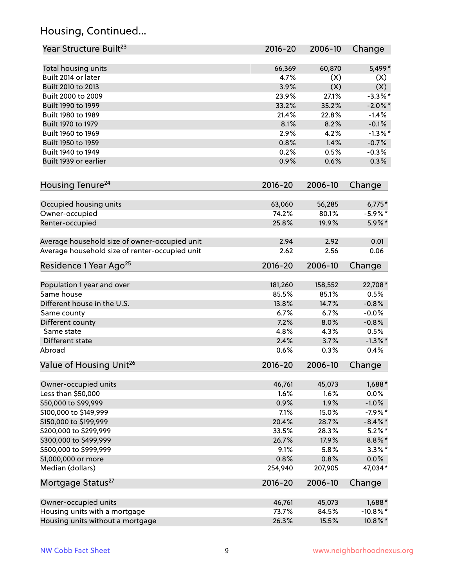## Housing, Continued...

| Year Structure Built <sup>23</sup>             | 2016-20     | 2006-10 | Change      |
|------------------------------------------------|-------------|---------|-------------|
| Total housing units                            | 66,369      | 60,870  | 5,499*      |
| Built 2014 or later                            | 4.7%        | (X)     | (X)         |
| Built 2010 to 2013                             | 3.9%        | (X)     | (X)         |
| Built 2000 to 2009                             | 23.9%       | 27.1%   | $-3.3\%$ *  |
| Built 1990 to 1999                             | 33.2%       | 35.2%   | $-2.0\%$ *  |
| Built 1980 to 1989                             | 21.4%       | 22.8%   | $-1.4%$     |
| Built 1970 to 1979                             | 8.1%        | 8.2%    | $-0.1%$     |
| Built 1960 to 1969                             | 2.9%        | 4.2%    | $-1.3\%$ *  |
| Built 1950 to 1959                             | 0.8%        | 1.4%    | $-0.7%$     |
| Built 1940 to 1949                             | 0.2%        | 0.5%    | $-0.3%$     |
| Built 1939 or earlier                          | 0.9%        | 0.6%    | 0.3%        |
| Housing Tenure <sup>24</sup>                   | $2016 - 20$ | 2006-10 | Change      |
| Occupied housing units                         | 63,060      | 56,285  | $6,775*$    |
| Owner-occupied                                 | 74.2%       | 80.1%   | $-5.9\%$ *  |
| Renter-occupied                                | 25.8%       | 19.9%   | 5.9%*       |
| Average household size of owner-occupied unit  | 2.94        | 2.92    | 0.01        |
| Average household size of renter-occupied unit | 2.62        | 2.56    | 0.06        |
| Residence 1 Year Ago <sup>25</sup>             | $2016 - 20$ | 2006-10 | Change      |
| Population 1 year and over                     | 181,260     | 158,552 | 22,708*     |
| Same house                                     | 85.5%       | 85.1%   | 0.5%        |
| Different house in the U.S.                    | 13.8%       | 14.7%   | $-0.8%$     |
| Same county                                    | 6.7%        | 6.7%    | $-0.0%$     |
| Different county                               | 7.2%        | 8.0%    | $-0.8%$     |
| Same state                                     | 4.8%        | 4.3%    | 0.5%        |
| Different state                                | 2.4%        | 3.7%    | $-1.3\%$ *  |
| Abroad                                         | 0.6%        | 0.3%    | 0.4%        |
| Value of Housing Unit <sup>26</sup>            | $2016 - 20$ | 2006-10 | Change      |
| Owner-occupied units                           | 46,761      | 45,073  | 1,688*      |
| Less than \$50,000                             | 1.6%        | 1.6%    | 0.0%        |
| \$50,000 to \$99,999                           | 0.9%        | 1.9%    | $-1.0%$     |
| \$100,000 to \$149,999                         | 7.1%        | 15.0%   | $-7.9%$ *   |
| \$150,000 to \$199,999                         | 20.4%       | 28.7%   | $-8.4\%$ *  |
| \$200,000 to \$299,999                         | 33.5%       | 28.3%   | $5.2\%$ *   |
| \$300,000 to \$499,999                         | 26.7%       | 17.9%   | $8.8\%$ *   |
| \$500,000 to \$999,999                         | 9.1%        | 5.8%    | $3.3\%$ *   |
| \$1,000,000 or more                            | 0.8%        | 0.8%    | $0.0\%$     |
| Median (dollars)                               | 254,940     | 207,905 | 47,034*     |
| Mortgage Status <sup>27</sup>                  | $2016 - 20$ | 2006-10 | Change      |
| Owner-occupied units                           | 46,761      | 45,073  | 1,688*      |
| Housing units with a mortgage                  | 73.7%       | 84.5%   | $-10.8\%$ * |
| Housing units without a mortgage               | 26.3%       | 15.5%   | 10.8%*      |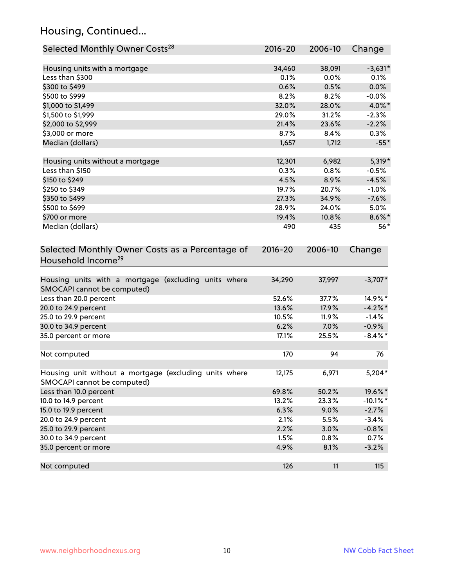## Housing, Continued...

| Selected Monthly Owner Costs <sup>28</sup>                                            | $2016 - 20$ | 2006-10 | Change      |
|---------------------------------------------------------------------------------------|-------------|---------|-------------|
| Housing units with a mortgage                                                         | 34,460      | 38,091  | $-3,631*$   |
| Less than \$300                                                                       | 0.1%        | 0.0%    | 0.1%        |
| \$300 to \$499                                                                        | 0.6%        | 0.5%    | 0.0%        |
| \$500 to \$999                                                                        | 8.2%        | 8.2%    | $-0.0%$     |
| \$1,000 to \$1,499                                                                    | 32.0%       | 28.0%   | 4.0%*       |
| \$1,500 to \$1,999                                                                    | 29.0%       | 31.2%   | $-2.3%$     |
| \$2,000 to \$2,999                                                                    | 21.4%       | 23.6%   | $-2.2%$     |
| \$3,000 or more                                                                       | 8.7%        | 8.4%    | 0.3%        |
| Median (dollars)                                                                      | 1,657       | 1,712   | $-55*$      |
| Housing units without a mortgage                                                      | 12,301      | 6,982   | $5,319*$    |
| Less than \$150                                                                       | 0.3%        | 0.8%    | $-0.5%$     |
| \$150 to \$249                                                                        | 4.5%        | 8.9%    | $-4.5%$     |
| \$250 to \$349                                                                        | 19.7%       | 20.7%   | $-1.0%$     |
| \$350 to \$499                                                                        | 27.3%       | 34.9%   | $-7.6%$     |
| \$500 to \$699                                                                        | 28.9%       | 24.0%   | 5.0%        |
| \$700 or more                                                                         | 19.4%       | 10.8%   | $8.6\%$ *   |
| Median (dollars)                                                                      | 490         | 435     | $56*$       |
| Selected Monthly Owner Costs as a Percentage of<br>Household Income <sup>29</sup>     | $2016 - 20$ | 2006-10 | Change      |
| Housing units with a mortgage (excluding units where<br>SMOCAPI cannot be computed)   | 34,290      | 37,997  | $-3,707*$   |
| Less than 20.0 percent                                                                | 52.6%       | 37.7%   | 14.9%*      |
| 20.0 to 24.9 percent                                                                  | 13.6%       | 17.9%   | $-4.2\%$ *  |
| 25.0 to 29.9 percent                                                                  | 10.5%       | 11.9%   | $-1.4%$     |
| 30.0 to 34.9 percent                                                                  | 6.2%        | 7.0%    | $-0.9%$     |
| 35.0 percent or more                                                                  | 17.1%       | 25.5%   | $-8.4\%$ *  |
| Not computed                                                                          | 170         | 94      | 76          |
| Housing unit without a mortgage (excluding units where<br>SMOCAPI cannot be computed) | 12,175      | 6,971   | $5,204*$    |
| Less than 10.0 percent                                                                | 69.8%       | 50.2%   | 19.6%*      |
| 10.0 to 14.9 percent                                                                  | 13.2%       | 23.3%   | $-10.1\%$ * |
| 15.0 to 19.9 percent                                                                  | 6.3%        | 9.0%    | $-2.7%$     |
| 20.0 to 24.9 percent                                                                  | 2.1%        | 5.5%    | $-3.4%$     |
| 25.0 to 29.9 percent                                                                  | 2.2%        | 3.0%    | $-0.8%$     |
| 30.0 to 34.9 percent                                                                  | 1.5%        | 0.8%    | 0.7%        |
| 35.0 percent or more                                                                  | 4.9%        | 8.1%    | $-3.2%$     |
| Not computed                                                                          | 126         | 11      | 115         |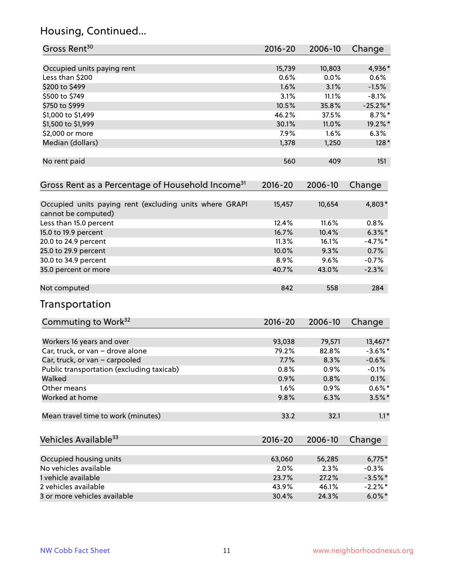## Housing, Continued...

| Gross Rent <sup>30</sup>                                                       | 2016-20     | 2006-10 | Change     |
|--------------------------------------------------------------------------------|-------------|---------|------------|
| Occupied units paying rent                                                     | 15,739      | 10,803  | 4,936*     |
| Less than \$200                                                                | 0.6%        | 0.0%    | $0.6\%$    |
| \$200 to \$499                                                                 | 1.6%        | 3.1%    | $-1.5%$    |
| \$500 to \$749                                                                 | 3.1%        | 11.1%   | $-8.1%$    |
| \$750 to \$999                                                                 | 10.5%       | 35.8%   | $-25.2%$   |
| \$1,000 to \$1,499                                                             | 46.2%       | 37.5%   | $8.7\%$ *  |
| \$1,500 to \$1,999                                                             | 30.1%       | 11.0%   | 19.2%*     |
| \$2,000 or more                                                                | 7.9%        | 1.6%    | 6.3%       |
| Median (dollars)                                                               | 1,378       | 1,250   | $128*$     |
| No rent paid                                                                   | 560         | 409     | 151        |
| Gross Rent as a Percentage of Household Income <sup>31</sup>                   | $2016 - 20$ | 2006-10 | Change     |
| Occupied units paying rent (excluding units where GRAPI<br>cannot be computed) | 15,457      | 10,654  | 4,803*     |
| Less than 15.0 percent                                                         | 12.4%       | 11.6%   | 0.8%       |
| 15.0 to 19.9 percent                                                           | 16.7%       | 10.4%   | $6.3\%$ *  |
| 20.0 to 24.9 percent                                                           | 11.3%       | 16.1%   | $-4.7%$ *  |
| 25.0 to 29.9 percent                                                           | 10.0%       | 9.3%    | 0.7%       |
| 30.0 to 34.9 percent                                                           | 8.9%        | 9.6%    | $-0.7%$    |
| 35.0 percent or more                                                           | 40.7%       | 43.0%   | $-2.3%$    |
| Not computed                                                                   | 842         | 558     | 284        |
| Transportation                                                                 |             |         |            |
| Commuting to Work <sup>32</sup>                                                | 2016-20     | 2006-10 | Change     |
| Workers 16 years and over                                                      | 93,038      | 79,571  | 13,467*    |
| Car, truck, or van - drove alone                                               | 79.2%       | 82.8%   | $-3.6\%$ * |
| Car, truck, or van - carpooled                                                 | 7.7%        | 8.3%    | $-0.6%$    |
| Public transportation (excluding taxicab)                                      | 0.8%        | 0.9%    | $-0.1%$    |
| Walked                                                                         | 0.9%        | 0.8%    | 0.1%       |
| Other means                                                                    | 1.6%        | 0.9%    | $0.6\%$ *  |
| Worked at home                                                                 | 9.8%        | 6.3%    | $3.5\%$ *  |
| Mean travel time to work (minutes)                                             | 33.2        | 32.1    | $1.1*$     |
| Vehicles Available <sup>33</sup>                                               | 2016-20     | 2006-10 | Change     |
| Occupied housing units                                                         | 63,060      | 56,285  | $6,775*$   |
| No vehicles available                                                          | 2.0%        | 2.3%    | $-0.3%$    |
| 1 vehicle available                                                            | 23.7%       | 27.2%   | $-3.5%$ *  |
| 2 vehicles available                                                           | 43.9%       | 46.1%   | $-2.2\%$ * |
| 3 or more vehicles available                                                   | 30.4%       | 24.3%   | $6.0\%$ *  |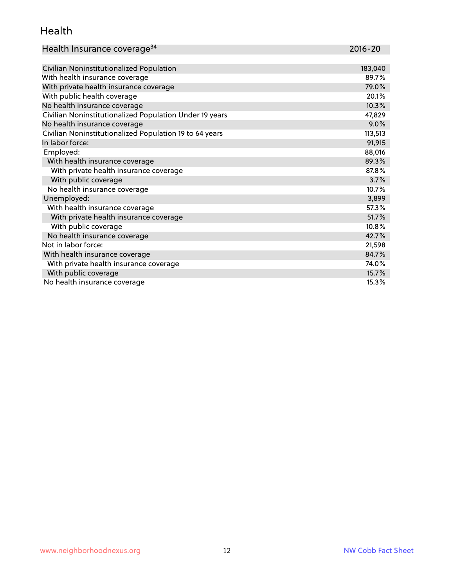#### Health

| Health Insurance coverage <sup>34</sup> | 2016-20 |
|-----------------------------------------|---------|
|-----------------------------------------|---------|

| Civilian Noninstitutionalized Population                | 183,040 |
|---------------------------------------------------------|---------|
| With health insurance coverage                          | 89.7%   |
| With private health insurance coverage                  | 79.0%   |
| With public health coverage                             | 20.1%   |
| No health insurance coverage                            | 10.3%   |
| Civilian Noninstitutionalized Population Under 19 years | 47,829  |
| No health insurance coverage                            | 9.0%    |
| Civilian Noninstitutionalized Population 19 to 64 years | 113,513 |
| In labor force:                                         | 91,915  |
| Employed:                                               | 88,016  |
| With health insurance coverage                          | 89.3%   |
| With private health insurance coverage                  | 87.8%   |
| With public coverage                                    | 3.7%    |
| No health insurance coverage                            | 10.7%   |
| Unemployed:                                             | 3,899   |
| With health insurance coverage                          | 57.3%   |
| With private health insurance coverage                  | 51.7%   |
| With public coverage                                    | 10.8%   |
| No health insurance coverage                            | 42.7%   |
| Not in labor force:                                     | 21,598  |
| With health insurance coverage                          | 84.7%   |
| With private health insurance coverage                  | 74.0%   |
| With public coverage                                    | 15.7%   |
| No health insurance coverage                            | 15.3%   |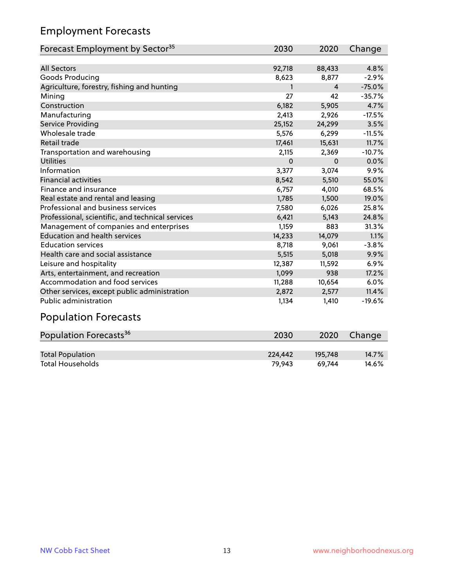## Employment Forecasts

| Forecast Employment by Sector <sup>35</sup>      | 2030   | 2020     | Change   |
|--------------------------------------------------|--------|----------|----------|
|                                                  |        |          |          |
| <b>All Sectors</b>                               | 92,718 | 88,433   | 4.8%     |
| Goods Producing                                  | 8,623  | 8,877    | $-2.9%$  |
| Agriculture, forestry, fishing and hunting       | 1      | 4        | $-75.0%$ |
| Mining                                           | 27     | 42       | $-35.7%$ |
| Construction                                     | 6,182  | 5,905    | 4.7%     |
| Manufacturing                                    | 2,413  | 2,926    | $-17.5%$ |
| Service Providing                                | 25,152 | 24,299   | 3.5%     |
| Wholesale trade                                  | 5,576  | 6,299    | $-11.5%$ |
| Retail trade                                     | 17,461 | 15,631   | 11.7%    |
| Transportation and warehousing                   | 2,115  | 2,369    | $-10.7%$ |
| <b>Utilities</b>                                 | 0      | $\Omega$ | 0.0%     |
| Information                                      | 3,377  | 3,074    | 9.9%     |
| <b>Financial activities</b>                      | 8,542  | 5,510    | 55.0%    |
| Finance and insurance                            | 6,757  | 4,010    | 68.5%    |
| Real estate and rental and leasing               | 1,785  | 1,500    | 19.0%    |
| Professional and business services               | 7,580  | 6,026    | 25.8%    |
| Professional, scientific, and technical services | 6,421  | 5,143    | 24.8%    |
| Management of companies and enterprises          | 1,159  | 883      | 31.3%    |
| <b>Education and health services</b>             | 14,233 | 14,079   | 1.1%     |
| <b>Education services</b>                        | 8,718  | 9,061    | $-3.8%$  |
| Health care and social assistance                | 5,515  | 5,018    | 9.9%     |
| Leisure and hospitality                          | 12,387 | 11,592   | 6.9%     |
| Arts, entertainment, and recreation              | 1,099  | 938      | 17.2%    |
| Accommodation and food services                  | 11,288 | 10,654   | 6.0%     |
| Other services, except public administration     | 2,872  | 2,577    | 11.4%    |
| <b>Public administration</b>                     | 1,134  | 1,410    | $-19.6%$ |

# Population Forecasts

| Population Forecasts <sup>36</sup> | 2030    | 2020    | Change   |
|------------------------------------|---------|---------|----------|
|                                    |         |         |          |
| <b>Total Population</b>            | 224.442 | 195.748 | $14.7\%$ |
| <b>Total Households</b>            | 79.943  | 69.744  | 14.6%    |